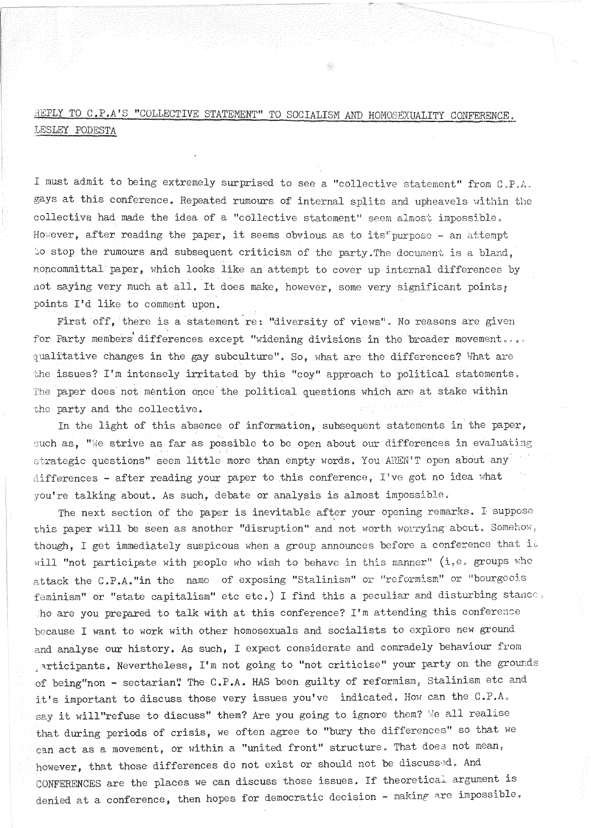REPLY TO C.P.A'S "COLLECTIVE STATEMENT" TO SOCIALISM AND HOMOSEXUALITY CONFERENCE. LESLEY PODESTA

I must admit to being extremely surprised to see a "collective statement" from  $C_aP_aA_a$ gays at this conference. Repeated rumours of internal splits and upheavels within the collective had made the idea of a "collective statement" seem almost impossible. However, after reading the paper, it seems obvious as to its'purpose - an attempt to stop the rumours and subsequent criticism of the party. The document is a bland. noncommittal paper, which looks like an attempt to cover up internal differences by not saying very much at all. It does make, however, some very significant points; points I'd like to comment upon.

First off, there is a statement re: "diversity of views". No reasons are given for Party members differences except "widening divisions in the broader movement... qualitative changes in the gay subculture". So, what are the differences? What are the issues? I'm intensely irritated by this "coy" approach to political statements, The paper does not mention once the political questions which are at stake within the party and the collective.

In the light of this absence of information, subsequent statements in the paper, such as, "We strive as far as possible to be open about our differences in evaluating strategic questions" seem little more than empty words. You AREN'T open about any differences - after reading your paper to this conference, I've got no idea what you're talking about. As such, debate or analysis is almost impossible.

The next section of the paper is inevitable after your opening remarks. I suppose this paper will be seen as another "disruption" and not worth. worrying about, Somehow, though, I get immediately suspicous when a group announces before a conference that it will "not participate with people who wish to behave in this manner" (i, e, groups who attack the C.P.A."in the name of exposing "Stalinism" or "reformism" or "bourgeois feminism" or "state capitalism" etc etc.) I find this a peculiar and disturbing stance, ho are you prepared to talk with at this conference? I'm attending this conference because I want to work with other homosexuals and socialists to explore new ground and analyse our history. As such, I expect considerate and comradely behaviour from , articipants. Nevertheless, I'm not going to "not criticise" your party on the grounds of being"non - sectarian" The C.P.A. HAS been guilty of reformism, Stalinism etc and it's important to discuss those very issues you've indicated, How can the C.P.A, say it will"refuse to discuss" them? Are you going to ignore them? We all realise that during periods of crisis, we often agree to "bury the differences" so that we can act as a movement, or within a "united front" structure. That does not mean, however, that those differences do not exist or should not be discussed. And CONFERENCES are the places we can discuss those issues. If theoretical argument is denied at a conference, then hopes for democratic decision - making are impossible.